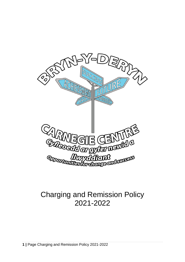

# Charging and Remission Policy 2021-2022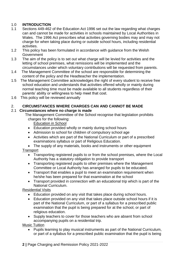## 1.0 **INTRODUCTION**

- 1.1 Sections 449-462 of the Education Act 1996 set out the law regarding what charges can and cannot be made for activities in schools maintained by Local Authorities in Wales. The 1996 Act prescribes what activities governing bodies may and may not charge for when taking place during or outside school hours, including residential activities.
- 1.2 This policy has been formulated in accordance with guidance from the Welsh **Government**
- 1.3 The aim of the policy is to set out what charge will be levied for activities and the letting of school premises, what remissions will be implemented and the circumstances under which voluntary contributions will be requested from parents.
- 1.4 The Management Committee of the school are responsible for determining the content of the policy and the Headteacher the implementation.
- 1.5 The Management Committee acknowledges the right of every student to receive free school education and understands that activities offered wholly or mainly during normal teaching time must be made available to all students regardless of their parents' ability or willingness to help meet that cost.
- 1.6 This policy will be reviewed annually

#### 2. **CIRCUMSTANCES WHERE CHARGES CAN AND CANNOT BE MADE**

#### 2.1 **Circumstances where no charge is made**

 The Management Committee of the School recognise that legislation prohibits charges for the following:

Education in School

- Education provided wholly or mainly during school hours
- Admission to school for children of compulsory school age
- Activities which are part of the National Curriculum or part of a prescribed examinations syllabus or part of Religious Education.
- The supply of any materials, books and instruments or other equipment **Transport** 
	- Transporting registered pupils to or from the school premises, where the Local Authority has a statutory obligation to provide transport
	- Transporting registered pupils to other premises where the Management Committee or Local Authority has arranged for pupils to be educated.
	- Transport that enables a pupil to meet an examination requirement when he/she has been prepared for that examination at the school
	- Transport provided in connection with an educational trip which is part of the National Curriculum.

Residential Visits

- Education provided on any visit that takes place during school hours.
- Education provided on any visit that takes place outside school hours if it is part of the National Curriculum, or part of a syllabus for a prescribed public examination that the pupil is being prepared for at the school, or part of religious education.
- Supply teachers to cover for those teachers who are absent from school accompanying pupils on a residential trip.

Music Tuition

• Pupils learning to play musical instruments as part of the National Curriculum, or part of a syllabus for a prescribed public examination that the pupil is being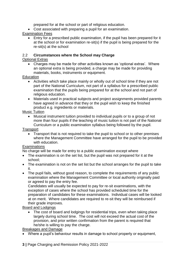prepared for at the school or part of religious education.

• Cost associated with preparing a pupil for an examination.

# Examination Fees

• Entry for a prescribed public examination, if the pupil has been prepared for it at the school or for examination re-sit(s) if the pupil is being prepared for the re-sit(s) at the school

# 2.2 **Circumstances where the School may Charge**

# Optional Extras

• Charges may be made for other activities known as 'optional extras'. Where an optional extra is being provided, a charge may be made for providing materials, books, instruments or equipment.

## **Education**

- Activities which take place mainly or wholly out of school time if they are not part of the National Curriculum, not part of a syllabus for a prescribed public examination that the pupils being prepared for at the school and not part of religious education.
- Materials used in practical subjects and project assignments provided parents have agreed in advance that they or the pupil wish to keep the finished product e.g. ingredients or materials.

## Music Tuition

• Musical instrument tuition provided to individual pupils or to a group of not more than four pupils if the teaching of music tuition is not part of the National Curriculum or a public examination syllabus being followed by the pupil.

**Transport** 

• Transport that is not required to take the pupil to school or to other premises where the Management Committee have arranged for the pupil to be provided with education.

## **Examinations**

No charge will be made for entry to a public examination except where

- The examination is on the set list, but the pupil was not prepared for it at the school;
- The examination is not on the set list but the school arranges for the pupil to take it.
- The pupil fails, without good reason, to complete the requirements of any public examination where the Management Committee or local authority originally paid or agreed to pay the entry fee.

Candidates will usually be expected to pay for re-sit examinations, with the exception of cases where the school has provided scheduled time for the preparation of candidates for these examinations. Individual cases will be looked at on merit. Where candidates are required to re-sit they will be reimbursed if their grade improves.

## Board and Lodgings

• The cost of board and lodgings for residential trips, even when taking place largely during school time. The cost will not exceed the actual cost of the provision, and prior written confirmation from the parent is required that he/she is willing to pay the charge.

## Breakages and Damage

• Where a pupil's behaviour results in damage to school property or equipment,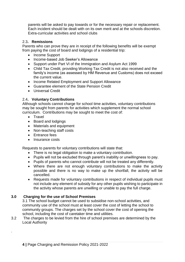parents will be asked to pay towards or for the necessary repair or replacement. Each incident should be dealt with on its own merit and at the schools discretion. Extra-curricular activities and school clubs

#### 2.3**. Remissions**

Parents who can prove they are in receipt of the following benefits will be exempt from paying the cost of board and lodgings of a residential trip:

- Income Support
- Income-based Job Seeker's Allowance
- Support under Part VI of the Immigration and Asylum Act 1999
- Child Tax Credit, providing Working Tax Credit is not also received and the family's income (as assessed by HM Revenue and Customs) does not exceed the current value.
- Income Related Employment and Support Allowance
- Guarantee element of the State Pension Credit
- Universal Credit

#### 2.4**. Voluntary Contributions**

Although schools cannot charge for school time activities, voluntary contributions may be sought from parents for activities which supplement the normal school curriculum. Contributions may be sought to meet the cost of:

• Travel

.

- Board and lodgings
- Materials and equipment
- Non-teaching staff costs
- Entrance fees
- Insurance costs

Requests to parents for voluntary contributions will state that:

- There is no legal obligation to make a voluntary contribution.
- Pupils will not be excluded through parent's inability or unwillingness to pay.
- Pupils of parents who cannot contribute will not be treated any differently.
- Where there are not enough voluntary contributions to make the activity possible and there is no way to make up the shortfall, the activity will be cancelled.
- Requests made for voluntary contributions in respect of individual pupils must not include any element of subsidy for any other pupils wishing to participate in the activity whose parents are unwilling or unable to pay the full charge.

## **3.0 Charging for the use of School Premises**

3.1 The school budget cannot be used to subsidise non-school activities, and community use of the school must at least cover the cost of letting the school to community groups. The charges set by the school cover the cost of opening the school, including the cost of caretaker time and utilities.

3.2 The charges to be levied from the hire of school premises are determined by the Local Authority